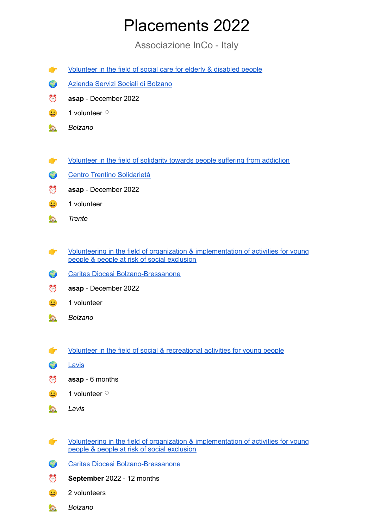## Placements 2022

Associazione InCo - Italy

- [Volunteer](https://www.incoweb.org/Progetti/In-Italia/Volunteer-in-the-field-of-social-care-for-elderly-disabled-people) in the field of social care for elderly & disabled people
- [Azienda](https://www.aziendasociale.bz.it/it) Servizi Sociali di Bolzano
- ⏰ **asap** December 2022
- **□** 1 volunteer ♀
- *Bolzano*
- [Volunteer](https://www.incoweb.org/Progetti/In-Italia/Volunteer-in-the-field-of-solidarity-towards-people-suffering-from-addiction) in the field of solidarity towards people suffering from addiction
- Centro Trentino [Solidarietà](https://www.citiesse.org/)
- ⏰ **asap** December 2022
- $\ddot{\mathbf{c}}$  1 volunteer
- *Trento*
- **T** Volunteering in the field of organization & [implementation](https://www.incoweb.org/Progetti/In-Italia/Volunteering-in-the-field-of-organization-implementation-of-activities-for-young-people-people-at-risk-of-social-exclusion) of activities for young people & people at risk of social [exclusion](https://www.incoweb.org/Progetti/In-Italia/Volunteering-in-the-field-of-organization-implementation-of-activities-for-young-people-people-at-risk-of-social-exclusion)
- Caritas Diocesi [Bolzano-Bressanone](https://www.caritas.bz.it/it.html)
- ⏰ **asap** December 2022
- $\ddot{\mathbf{c}}$  1 volunteer
- *Bolzano*
- Volunteer in the field of social & [recreational](https://www.incoweb.org/Progetti/In-Italia/Volunteer-in-the-field-of-social-recreational-activites-for-young-people) activities for young people
- **C** [Lavis](https://www.comune.lavis.tn.it/)
- $\bullet$  **asap** 6 months
- **□ 1 volunteer** ♀
- *Lavis*
- Volunteering in the field of organization & [implementation](https://www.incoweb.org/Progetti/In-Italia/Volunteering-in-the-field-of-organization-implementation-of-activities-for-young-people-people-at-risk-of-social-exclusion) of activities for young people & people at risk of social [exclusion](https://www.incoweb.org/Progetti/In-Italia/Volunteering-in-the-field-of-organization-implementation-of-activities-for-young-people-people-at-risk-of-social-exclusion)
- Caritas Diocesi [Bolzano-Bressanone](https://www.caritas.bz.it/it.html)
- September 2022 12 months
- $\therefore$  2 volunteers
- *Bolzano*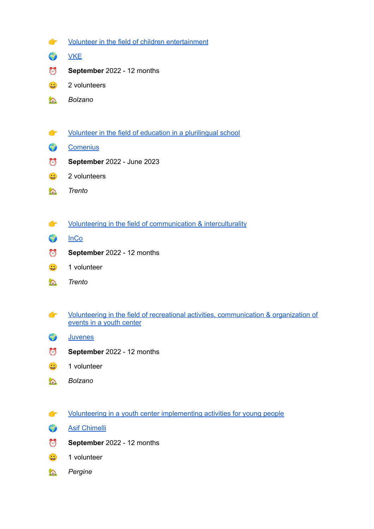- Volunteer in the field of children [entertainment](https://www.incoweb.org/Progetti/In-Italia/Volunteer-in-the-field-of-children-entertainment)
- **C** [VKE](https://www.vke.it/)
- September 2022 12 months
- $\ddot{2}$  2 volunteers
- *Bolzano*
- **T** Volunteer in the field of education in a [plurilingual](https://www.incoweb.org/Progetti/In-Italia/Volunteer-in-the-field-of-education-in-a-plurilingual-school) school
- **[Comenius](https://icomenius.it/)**
- **September** 2022 June 2023
- $\frac{1}{2}$  2 volunteers
- *Trento*
- **The Volunteering in the field of [communication](https://www.incoweb.org/Progetti/In-Italia/Volunteering-in-the-field-of-communication-interculturality) & interculturality**
- **C** [InCo](https://www.incoweb.org/)
- September 2022 12 months
- $\ddot{\mathbf{u}}$  1 volunteer
- *Trento*
- Volunteering in the field of recreational activities, [communication](https://www.incoweb.org/Progetti/In-Italia/Volunteering-in-the-field-of-recreational-activities-communication-organization-of-events-in-a-youth-center) & organization of [events](https://www.incoweb.org/Progetti/In-Italia/Volunteering-in-the-field-of-recreational-activities-communication-organization-of-events-in-a-youth-center) in a youth center
- **C** [Juvenes](https://www.juvenes.it/)
- September 2022 12 months
- $\ddot{\mathbf{c}}$  1 volunteer
- *Bolzano*
- Volunteering in a youth center [implementing](https://www.incoweb.org/Progetti/In-Italia/Volunteering-in-a-youth-center-implementing-activities-for-young-people) activities for young people
- **Asif [Chimelli](https://www.asifchimelli.eu/)**
- September 2022 12 months
- $\ddot{\mathbf{u}}$  1 volunteer
- *Pergine*